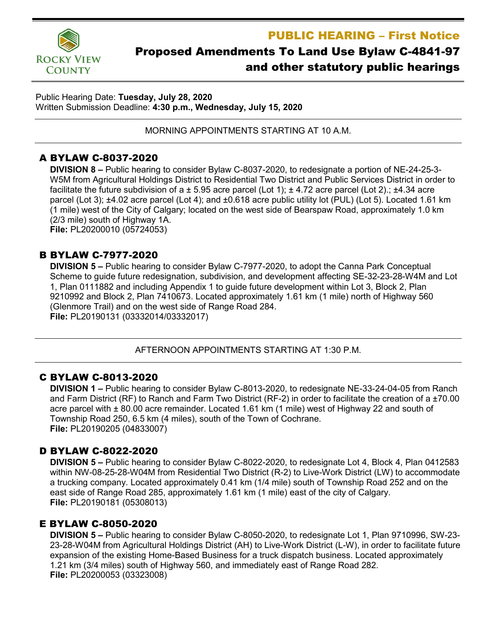PUBLIC HEARING – First Notice



# Proposed Amendments To Land Use Bylaw C-4841-97 and other statutory public hearings

Public Hearing Date: **Tuesday, July 28, 2020** Written Submission Deadline: **4:30 p.m., Wednesday, July 15, 2020**

MORNING APPOINTMENTS STARTING AT 10 A.M.

# A BYLAW C-8037-2020

**DIVISION 8 –** Public hearing to consider Bylaw C-8037-2020, to redesignate a portion of NE-24-25-3- W5M from Agricultural Holdings District to Residential Two District and Public Services District in order to facilitate the future subdivision of a  $\pm$  5.95 acre parcel (Lot 1);  $\pm$  4.72 acre parcel (Lot 2).;  $\pm$ 4.34 acre parcel (Lot 3); ±4.02 acre parcel (Lot 4); and ±0.618 acre public utility lot (PUL) (Lot 5). Located 1.61 km (1 mile) west of the City of Calgary; located on the west side of Bearspaw Road, approximately 1.0 km (2/3 mile) south of Highway 1A. **File:** PL20200010 (05724053)

### B BYLAW C-7977-2020

**DIVISION 5 –** Public hearing to consider Bylaw C-7977-2020, to adopt the Canna Park Conceptual Scheme to guide future redesignation, subdivision, and development affecting SE-32-23-28-W4M and Lot 1, Plan 0111882 and including Appendix 1 to guide future development within Lot 3, Block 2, Plan 9210992 and Block 2, Plan 7410673. Located approximately 1.61 km (1 mile) north of Highway 560 (Glenmore Trail) and on the west side of Range Road 284. **File:** PL20190131 (03332014/03332017)

#### AFTERNOON APPOINTMENTS STARTING AT 1:30 P.M.

# C BYLAW C-8013-2020

**DIVISION 1 –** Public hearing to consider Bylaw C-8013-2020, to redesignate NE-33-24-04-05 from Ranch and Farm District (RF) to Ranch and Farm Two District (RF-2) in order to facilitate the creation of a ±70.00 acre parcel with ± 80.00 acre remainder. Located 1.61 km (1 mile) west of Highway 22 and south of Township Road 250, 6.5 km (4 miles), south of the Town of Cochrane. **File:** PL20190205 (04833007)

# D BYLAW C-8022-2020

**DIVISION 5 –** Public hearing to consider Bylaw C-8022-2020, to redesignate Lot 4, Block 4, Plan 0412583 within NW-08-25-28-W04M from Residential Two District (R-2) to Live-Work District (LW) to accommodate a trucking company. Located approximately 0.41 km (1/4 mile) south of Township Road 252 and on the east side of Range Road 285, approximately 1.61 km (1 mile) east of the city of Calgary. **File:** PL20190181 (05308013)

# E BYLAW C-8050-2020

**DIVISION 5 –** Public hearing to consider Bylaw C-8050-2020, to redesignate Lot 1, Plan 9710996, SW-23- 23-28-W04M from Agricultural Holdings District (AH) to Live-Work District (L-W), in order to facilitate future expansion of the existing Home-Based Business for a truck dispatch business. Located approximately 1.21 km (3/4 miles) south of Highway 560, and immediately east of Range Road 282. **File:** PL20200053 (03323008)